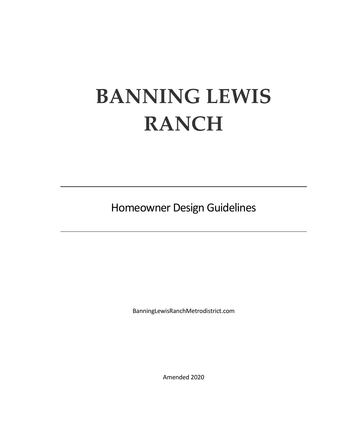# **BANNING LEWIS RANCH**

Homeowner Design Guidelines

BanningLewisRanchMetrodistrict.com

Amended 2020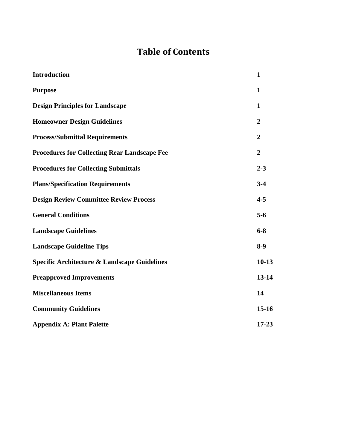# **Table of Contents**

| <b>Introduction</b>                                     | 1              |
|---------------------------------------------------------|----------------|
| <b>Purpose</b>                                          | 1              |
| <b>Design Principles for Landscape</b>                  | $\mathbf{1}$   |
| <b>Homeowner Design Guidelines</b>                      | $\overline{2}$ |
| <b>Process/Submittal Requirements</b>                   | $\overline{2}$ |
| <b>Procedures for Collecting Rear Landscape Fee</b>     | $\overline{2}$ |
| <b>Procedures for Collecting Submittals</b>             | $2 - 3$        |
| <b>Plans/Specification Requirements</b>                 | $3 - 4$        |
| <b>Design Review Committee Review Process</b>           | $4 - 5$        |
| <b>General Conditions</b>                               | $5-6$          |
| <b>Landscape Guidelines</b>                             | $6 - 8$        |
| <b>Landscape Guideline Tips</b>                         | $8-9$          |
| <b>Specific Architecture &amp; Landscape Guidelines</b> | $10-13$        |
| <b>Preapproved Improvements</b>                         | 13-14          |
| <b>Miscellaneous Items</b>                              | 14             |
| <b>Community Guidelines</b>                             | $15 - 16$      |
| <b>Appendix A: Plant Palette</b>                        | $17 - 23$      |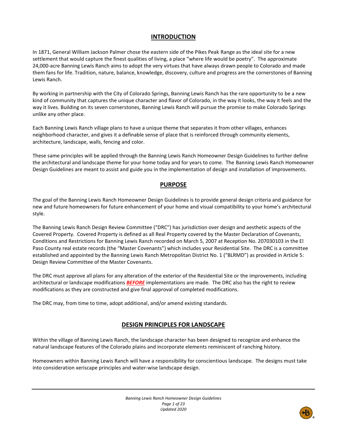## **INTRODUCTION**

In 1871, General William Jackson Palmer chose the eastern side of the Pikes Peak Range as the ideal site for a new settlement that would capture the finest qualities of living, a place "where life would be poetry". The approximate 24,000-acre Banning Lewis Ranch aims to adopt the very virtues that have always drawn people to Colorado and made them fans for life. Tradition, nature, balance, knowledge, discovery, culture and progress are the cornerstones of Banning Lewis Ranch.

By working in partnership with the City of Colorado Springs, Banning Lewis Ranch has the rare opportunity to be a new kind of community that captures the unique character and flavor of Colorado, in the way it looks, the way it feels and the way it lives. Building on its seven cornerstones, Banning Lewis Ranch will pursue the promise to make Colorado Springs unlike any other place.

Each Banning Lewis Ranch village plans to have a unique theme that separates it from other villages, enhances neighborhood character, and gives it a definable sense of place that is reinforced through community elements, architecture, landscape, walls, fencing and color.

These same principles will be applied through the Banning Lewis Ranch Homeowner Design Guidelines to further define the architectural and landscape theme for your home today and for years to come. The Banning Lewis Ranch Homeowner Design Guidelines are meant to assist and guide you in the implementation of design and installation of improvements.

## **PURPOSE**

The goal of the Banning Lewis Ranch Homeowner Design Guidelines is to provide general design criteria and guidance for new and future homeowners for future enhancement of your home and visual compatibility to your home's architectural style.

The Banning Lewis Ranch Design Review Committee ("DRC") has jurisdiction over design and aesthetic aspects of the Covered Property. Covered Property is defined as all Real Property covered by the Master Declaration of Covenants, Conditions and Restrictions for Banning Lewis Ranch recorded on March 5, 2007 at Reception No. 207030103 in the El Paso County real estate records (the "Master Covenants") which includes your Residential Site. The DRC is a committee established and appointed by the Banning Lewis Ranch Metropolitan District No. 1 ("BLRMD") as provided in Article 5: Design Review Committee of the Master Covenants.

The DRC must approve all plans for any alteration of the exterior of the Residential Site or the improvements, including architectural or landscape modifications *BEFORE* implementations are made. The DRC also has the right to review modifications as they are constructed and give final approval of completed modifications.

The DRC may, from time to time, adopt additional, and/or amend existing standards.

## **DESIGN PRINCIPLES FOR LANDSCAPE**

Within the village of Banning Lewis Ranch, the landscape character has been designed to recognize and enhance the natural landscape features of the Colorado plains and incorporate elements reminiscent of ranching history.

Homeowners within Banning Lewis Ranch will have a responsibility for conscientious landscape. The designs must take into consideration xeriscape principles and water-wise landscape design.

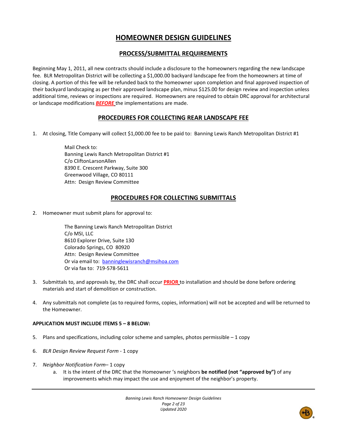# **HOMEOWNER DESIGN GUIDELINES**

## **PROCESS/SUBMITTAL REQUIREMENTS**

Beginning May 1, 2011, all new contracts should include a disclosure to the homeowners regarding the new landscape fee. BLR Metropolitan District will be collecting a \$1,000.00 backyard landscape fee from the homeowners at time of closing. A portion of this fee will be refunded back to the homeowner upon completion and final approved inspection of their backyard landscaping as per their approved landscape plan, minus \$125.00 for design review and inspection unless additional time, reviews or inspections are required. Homeowners are required to obtain DRC approval for architectural or landscape modifications *BEFORE* the implementations are made.

## **PROCEDURES FOR COLLECTING REAR LANDSCAPE FEE**

1. At closing, Title Company will collect \$1,000.00 fee to be paid to: Banning Lewis Ranch Metropolitan District #1

Mail Check to: Banning Lewis Ranch Metropolitan District #1 C/o CliftonLarsonAllen 8390 E. Crescent Parkway, Suite 300 Greenwood Village, CO 80111 Attn: Design Review Committee

# **PROCEDURES FOR COLLECTING SUBMITTALS**

2. Homeowner must submit plans for approval to:

The Banning Lewis Ranch Metropolitan District C/o MSI, LLC 8610 Explorer Drive, Suite 130 Colorado Springs, CO 80920 Attn: Design Review Committee Or via email to: [banninglewisranch@msihoa.com](mailto:banninglewisranch@msihoa.com) Or via fax to: 719-578-5611

- 3. Submittals to, and approvals by, the DRC shall occur **PRIOR** to installation and should be done before ordering materials and start of demolition or construction.
- 4. Any submittals not complete (as to required forms, copies, information) will not be accepted and will be returned to the Homeowner.

## **APPLICATION MUST INCLUDE ITEMS 5 – 8 BELOW:**

- 5. Plans and specifications, including color scheme and samples, photos permissible  $-1$  copy
- 6. *BLR Design Review Request Form* 1 copy
- 7. *Neighbor Notification Form* 1 copy
	- a. It is the intent of the DRC that the Homeowner 's neighbors **be notified (not "approved by")** of any improvements which may impact the use and enjoyment of the neighbor's property.

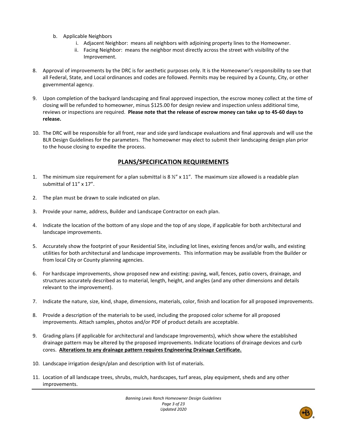- b. Applicable Neighbors
	- i. Adjacent Neighbor: means all neighbors with adjoining property lines to the Homeowner.
	- ii. Facing Neighbor: means the neighbor most directly across the street with visibility of the Improvement.
- 8. Approval of improvements by the DRC is for aesthetic purposes only. It is the Homeowner's responsibility to see that all Federal, State, and Local ordinances and codes are followed. Permits may be required by a County, City, or other governmental agency.
- 9. Upon completion of the backyard landscaping and final approved inspection, the escrow money collect at the time of closing will be refunded to homeowner, minus \$125.00 for design review and inspection unless additional time, reviews or inspections are required. **Please note that the release of escrow money can take up to 45-60 days to release.**
- 10. The DRC will be responsible for all front, rear and side yard landscape evaluations and final approvals and will use the BLR Design Guidelines for the parameters. The homeowner may elect to submit their landscaping design plan prior to the house closing to expedite the process.

## **PLANS/SPECIFICATION REQUIREMENTS**

- 1. The minimum size requirement for a plan submittal is 8  $\frac{1}{2}$  x 11". The maximum size allowed is a readable plan submittal of 11" x 17".
- 2. The plan must be drawn to scale indicated on plan.
- 3. Provide your name, address, Builder and Landscape Contractor on each plan.
- 4. Indicate the location of the bottom of any slope and the top of any slope, if applicable for both architectural and landscape improvements.
- 5. Accurately show the footprint of your Residential Site, including lot lines, existing fences and/or walls, and existing utilities for both architectural and landscape improvements. This information may be available from the Builder or from local City or County planning agencies.
- 6. For hardscape improvements, show proposed new and existing: paving, wall, fences, patio covers, drainage, and structures accurately described as to material, length, height, and angles (and any other dimensions and details relevant to the improvement).
- 7. Indicate the nature, size, kind, shape, dimensions, materials, color, finish and location for all proposed improvements.
- 8. Provide a description of the materials to be used, including the proposed color scheme for all proposed improvements. Attach samples, photos and/or PDF of product details are acceptable.
- 9. Grading plans (if applicable for architectural and landscape Improvements), which show where the established drainage pattern may be altered by the proposed improvements. Indicate locations of drainage devices and curb cores. **Alterations to any drainage pattern requires Engineering Drainage Certificate.**
- 10. Landscape irrigation design/plan and description with list of materials.
- 11. Location of all landscape trees, shrubs, mulch, hardscapes, turf areas, play equipment, sheds and any other improvements.

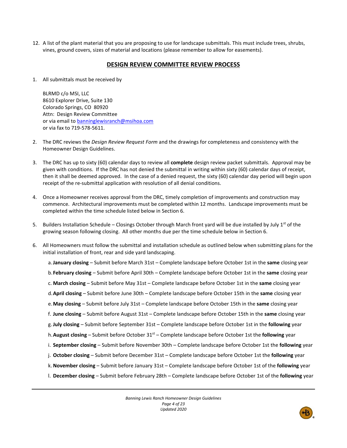12. A list of the plant material that you are proposing to use for landscape submittals. This must include trees, shrubs, vines, ground covers, sizes of material and locations (please remember to allow for easements).

## **DESIGN REVIEW COMMITTEE REVIEW PROCESS**

1. All submittals must be received by

BLRMD c/o MSI, LLC 8610 Explorer Drive, Suite 130 Colorado Springs, CO 80920 Attn: Design Review Committee or via email to [banninglewisranch@msihoa.com](mailto:banninglewisranch@msihoa.com) or via fax to 719-578-5611.

- 2. The DRC reviews the *Design Review Request Form* and the drawings for completeness and consistency with the Homeowner Design Guidelines.
- 3. The DRC has up to sixty (60) calendar days to review all **complete** design review packet submittals. Approval may be given with conditions. If the DRC has not denied the submittal in writing within sixty (60) calendar days of receipt, then it shall be deemed approved. In the case of a denied request, the sixty (60) calendar day period will begin upon receipt of the re-submittal application with resolution of all denial conditions.
- 4. Once a Homeowner receives approval from the DRC, timely completion of improvements and construction may commence. Architectural improvements must be completed within 12 months. Landscape improvements must be completed within the time schedule listed below in Section 6.
- 5. Builders Installation Schedule Closings October through March front yard will be due installed by July  $1^{st}$  of the growing season following closing. All other months due per the time schedule below in Section 6.
- 6. All Homeowners must follow the submittal and installation schedule as outlined below when submitting plans for the initial installation of front, rear and side yard landscaping.
	- a.**January closing** Submit before March 31st Complete landscape before October 1st in the **same** closing year
	- b.**February closing** Submit before April 30th Complete landscape before October 1st in the **same** closing year
	- c. **March closing** Submit before May 31st Complete landscape before October 1st in the **same** closing year
	- d.**April closing** Submit before June 30th Complete landscape before October 15th in the **same** closing year
	- e.**May closing** Submit before July 31st Complete landscape before October 15th in the **same** closing year
	- f. **June closing** Submit before August 31st Complete landscape before October 15th in the **same** closing year
	- g.**July closing** Submit before September 31st Complete landscape before October 1st in the **following** year
	- h.**August closing** Submit before October 31st Complete landscape before October 1st the **following** year
	- i. **September closing** Submit before November 30th Complete landscape before October 1st the **following** year
	- j. **October closing** Submit before December 31st Complete landscape before October 1st the **following** year
	- k.**November closing** Submit before January 31st Complete landscape before October 1st of the **following** year
	- l. **December closing** Submit before February 28th Complete landscape before October 1st of the **following** year

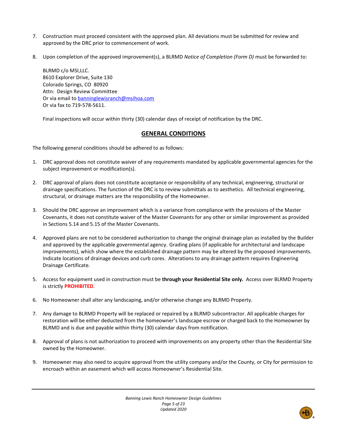- 7. Construction must proceed consistent with the approved plan. All deviations must be submitted for review and approved by the DRC prior to commencement of work.
- 8. Upon completion of the approved improvement(s), a BLRMD *Notice of Completion (Form D)* must be forwarded to:

BLRMD c/o MSI,LLC. 8610 Explorer Drive, Suite 130 Colorado Springs, CO 80920 Attn: Design Review Committee Or via email to [banninglewisranch@msihoa.com](mailto:banninglewisranch@msihoa.com) Or via fax to 719-578-5611.

Final inspections will occur within thirty (30) calendar days of receipt of notification by the DRC.

## **GENERAL CONDITIONS**

The following general conditions should be adhered to as follows:

- 1. DRC approval does not constitute waiver of any requirements mandated by applicable governmental agencies for the subject improvement or modification(s).
- 2. DRC approval of plans does not constitute acceptance or responsibility of any technical, engineering, structural or drainage specifications. The function of the DRC is to review submittals as to aesthetics. All technical engineering, structural, or drainage matters are the responsibility of the Homeowner.
- 3. Should the DRC approve an improvement which is a variance from compliance with the provisions of the Master Covenants, it does not constitute waiver of the Master Covenants for any other or similar improvement as provided in Sections 5.14 and 5.15 of the Master Covenants.
- 4. Approved plans are not to be considered authorization to change the original drainage plan as installed by the Builder and approved by the applicable governmental agency. Grading plans (if applicable for architectural and landscape improvements), which show where the established drainage pattern may be altered by the proposed improvements. Indicate locations of drainage devices and curb cores. Alterations to any drainage pattern requires Engineering Drainage Certificate.
- 5. Access for equipment used in construction must be **through your Residential Site only.** Access over BLRMD Property is strictly **PROHIBITED**.
- 6. No Homeowner shall alter any landscaping, and/or otherwise change any BLRMD Property.
- 7. Any damage to BLRMD Property will be replaced or repaired by a BLRMD subcontractor. All applicable charges for restoration will be either deducted from the homeowner's landscape escrow or charged back to the Homeowner by BLRMD and is due and payable within thirty (30) calendar days from notification.
- 8. Approval of plans is not authorization to proceed with improvements on any property other than the Residential Site owned by the Homeowner.
- 9. Homeowner may also need to acquire approval from the utility company and/or the County, or City for permission to encroach within an easement which will access Homeowner's Residential Site.

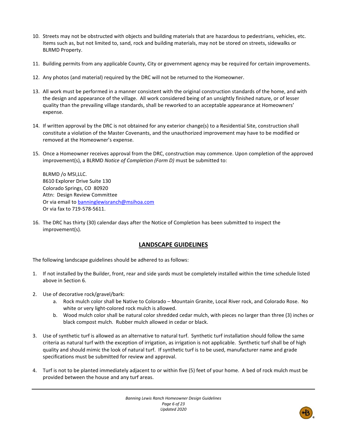- 10. Streets may not be obstructed with objects and building materials that are hazardous to pedestrians, vehicles, etc. Items such as, but not limited to, sand, rock and building materials, may not be stored on streets, sidewalks or BLRMD Property.
- 11. Building permits from any applicable County, City or government agency may be required for certain improvements.
- 12. Any photos (and material) required by the DRC will not be returned to the Homeowner.
- 13. All work must be performed in a manner consistent with the original construction standards of the home, and with the design and appearance of the village. All work considered being of an unsightly finished nature, or of lesser quality than the prevailing village standards, shall be reworked to an acceptable appearance at Homeowners' expense.
- 14. If written approval by the DRC is not obtained for any exterior change(s) to a Residential Site, construction shall constitute a violation of the Master Covenants, and the unauthorized improvement may have to be modified or removed at the Homeowner's expense.
- 15. Once a Homeowner receives approval from the DRC, construction may commence. Upon completion of the approved improvement(s), a BLRMD *Notice of Completion (Form D)* must be submitted to:

BLRMD /o MSI,LLC. 8610 Explorer Drive Suite 130 Colorado Springs, CO 80920 Attn: Design Review Committee Or via email to [banninglewisranch@msihoa.com](mailto:banninglewisranch@msihoa.com) Or via fax to 719-578-5611.

16. The DRC has thirty (30) calendar days after the Notice of Completion has been submitted to inspect the improvement(s).

## **LANDSCAPE GUIDELINES**

The following landscape guidelines should be adhered to as follows:

- 1. If not installed by the Builder, front, rear and side yards must be completely installed within the time schedule listed above in Section 6.
- 2. Use of decorative rock/gravel/bark:
	- a. Rock mulch color shall be Native to Colorado Mountain Granite, Local River rock, and Colorado Rose. No white or very light-colored rock mulch is allowed.
	- b. Wood mulch color shall be natural color shredded cedar mulch, with pieces no larger than three (3) inches or black compost mulch. Rubber mulch allowed in cedar or black.
- 3. Use of synthetic turf is allowed as an alternative to natural turf. Synthetic turf installation should follow the same criteria as natural turf with the exception of irrigation, as irrigation is not applicable. Synthetic turf shall be of high quality and should mimic the look of natural turf. If synthetic turf is to be used, manufacturer name and grade specifications must be submitted for review and approval.
- 4. Turf is not to be planted immediately adjacent to or within five (5) feet of your home. A bed of rock mulch must be provided between the house and any turf areas.

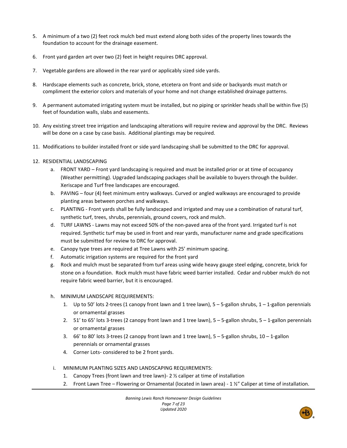- 5. A minimum of a two (2) feet rock mulch bed must extend along both sides of the property lines towards the foundation to account for the drainage easement.
- 6. Front yard garden art over two (2) feet in height requires DRC approval.
- 7. Vegetable gardens are allowed in the rear yard or applicably sized side yards.
- 8. Hardscape elements such as concrete, brick, stone, etcetera on front and side or backyards must match or compliment the exterior colors and materials of your home and not change established drainage patterns.
- 9. A permanent automated irrigating system must be installed, but no piping or sprinkler heads shall be within five (5) feet of foundation walls, slabs and easements.
- 10. Any existing street tree irrigation and landscaping alterations will require review and approval by the DRC. Reviews will be done on a case by case basis. Additional plantings may be required.
- 11. Modifications to builder installed front or side yard landscaping shall be submitted to the DRC for approval.
- 12. RESIDENTIAL LANDSCAPING
	- a. FRONT YARD Front yard landscaping is required and must be installed prior or at time of occupancy (Weather permitting). Upgraded landscaping packages shall be available to buyers through the builder. Xeriscape and Turf free landscapes are encouraged.
	- b. PAVING four (4) feet minimum entry walkways. Curved or angled walkways are encouraged to provide planting areas between porches and walkways.
	- c. PLANTING Front yards shall be fully landscaped and irrigated and may use a combination of natural turf, synthetic turf, trees, shrubs, perennials, ground covers, rock and mulch.
	- d. TURF LAWNS Lawns may not exceed 50% of the non-paved area of the front yard. Irrigated turf is not required. Synthetic turf may be used in front and rear yards, manufacturer name and grade specifications must be submitted for review to DRC for approval.
	- e. Canopy type trees are required at Tree Lawns with 25' minimum spacing.
	- f. Automatic irrigation systems are required for the front yard
	- g. Rock and mulch must be separated from turf areas using wide heavy gauge steel edging, concrete, brick for stone on a foundation. Rock mulch must have fabric weed barrier installed. Cedar and rubber mulch do not require fabric weed barrier, but it is encouraged.
	- h. MINIMUM LANDSCAPE REQUIREMENTS:
		- 1. Up to 50' lots 2-trees (1 canopy front lawn and 1 tree lawn), 5 5-gallon shrubs, 1 1-gallon perennials or ornamental grasses
		- 2. 51' to 65' lots 3-trees (2 canopy front lawn and 1 tree lawn), 5 5-gallon shrubs, 5 1-gallon perennials or ornamental grasses
		- 3. 66' to 80' lots 3-trees (2 canopy front lawn and 1 tree lawn), 5 5-gallon shrubs, 10 1-gallon perennials or ornamental grasses
		- 4. Corner Lots- considered to be 2 front yards.
	- i. MINIMUM PLANTING SIZES AND LANDSCAPING REQUIREMENTS:
		- 1. Canopy Trees (front lawn and tree lawn)- 2 ½ caliper at time of installation
		- 2. Front Lawn Tree Flowering or Ornamental (located in lawn area) 1 ½" Caliper at time of installation.

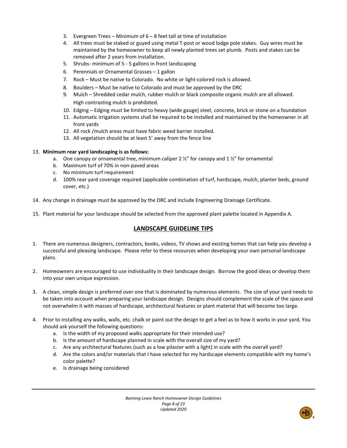- 3. Evergreen Trees Minimum of 6 8 feet tall at time of installation
- 4. All trees must be staked or guyed using metal T-post or wood lodge pole stakes. Guy wires must be maintained by the homeowner to keep all newly planted trees set plumb. Posts and stakes can be removed after 2 years from installation.
- 5. Shrubs- minimum of 5 5 gallons in front landscaping
- 6. Perennials or Ornamental Grasses 1 gallon
- 7. Rock Must be native to Colorado. No white or light-colored rock is allowed.
- 8. Boulders Must be native to Colorado and must be approved by the DRC
- 9. Mulch Shredded cedar mulch, rubber mulch or black composite organic mulch are all allowed. High contrasting mulch is prohibited.
- 10. Edging Edging must be limited to heavy (wide gauge) steel, concrete, brick or stone on a foundation
- 11. Automatic irrigation systems shall be required to be installed and maintained by the homeowner in all front yards
- 12. All rock /mulch areas must have fabric weed barrier installed.
- 13. All vegetation should be at least 5' away from the fence line

## 13. **Minimum rear yard landscaping is as follows:**

- a. One canopy or ornamental tree, minimum caliper 2  $\frac{y}{r}$  for canopy and 1  $\frac{y}{r}$  for ornamental
- b. Maximum turf of 70% in non-paved areas
- c. No minimum turf requirement
- d. 100% rear yard coverage required (applicable combination of turf, hardscape, mulch, planter beds, ground cover, etc.)
- 14. Any change in drainage must be approved by the DRC and include Engineering Drainage Certificate.
- 15. Plant material for your landscape should be selected from the approved plant palette located in Appendix A.

## **LANDSCAPE GUIDELINE TIPS**

- 1. There are numerous designers, contractors, books, videos, TV shows and existing homes that can help you develop a successful and pleasing landscape. Please refer to these resources when developing your own personal landscape plans.
- 2. Homeowners are encouraged to use individuality in their landscape design. Borrow the good ideas or develop them into your own unique expression.
- 3. A clean, simple design is preferred over one that is dominated by numerous elements. The size of your yard needs to be taken into account when preparing your landscape design. Designs should complement the scale of the space and not overwhelm it with masses of hardscape, architectural features or plant material that will become too large.
- 4. Prior to installing any walks, walls, etc. chalk or paint out the design to get a feel as to how it works in your yard. You should ask yourself the following questions:
	- a. Is the width of my proposed walks appropriate for their intended use?
	- b. Is the amount of hardscape planned in scale with the overall size of my yard?
	- c. Are any architectural features (such as a low pilaster with a light) in scale with the overall yard?
	- d. Are the colors and/or materials that I have selected for my hardscape elements compatible with my home's color palette?
	- e. Is drainage being considered

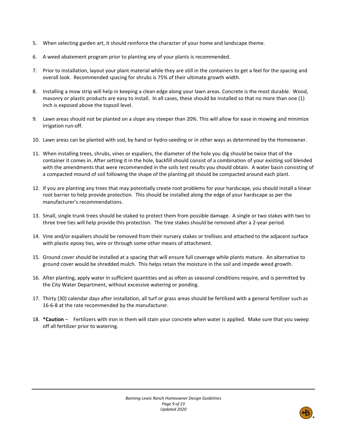- 5. When selecting garden art, it should reinforce the character of your home and landscape theme.
- 6. A weed abatement program prior to planting any of your plants is recommended.
- 7. Prior to installation, layout your plant material while they are still in the containers to get a feel for the spacing and overall look. Recommended spacing for shrubs is 75% of their ultimate growth width.
- 8. Installing a mow strip will help in keeping a clean edge along your lawn areas. Concrete is the most durable. Wood, masonry or plastic products are easy to install. In all cases, these should be installed so that no more than one (1) inch is exposed above the topsoil level.
- 9. Lawn areas should not be planted on a slope any steeper than 20%. This will allow for ease in mowing and minimize irrigation run-off.
- 10. Lawn areas can be planted with sod, by hand or hydro-seeding or in other ways as determined by the Homeowner.
- 11. When installing trees, shrubs, vines or espaliers, the diameter of the hole you dig should be twice that of the container it comes in. After setting it in the hole, backfill should consist of a combination of your existing soil blended with the amendments that were recommended in the soils test results you should obtain. A water basin consisting of a compacted mound of soil following the shape of the planting pit should be compacted around each plant.
- 12. If you are planting any trees that may potentially create root problems for your hardscape, you should install a linear root barrier to help provide protection. This should be installed along the edge of your hardscape as per the manufacturer's recommendations.
- 13. Small, single trunk trees should be staked to protect them from possible damage. A single or two stakes with two to three tree ties will help provide this protection. The tree stakes should be removed after a 2-year period.
- 14. Vine and/or espaliers should be removed from their nursery stakes or trellises and attached to the adjacent surface with plastic epoxy ties, wire or through some other means of attachment.
- 15. Ground cover should be installed at a spacing that will ensure full coverage while plants mature. An alternative to ground cover would be shredded mulch. This helps retain the moisture in the soil and impede weed growth.
- 16. After planting, apply water in sufficient quantities and as often as seasonal conditions require, and is permitted by the City Water Department, without excessive watering or ponding.
- 17. Thirty (30) calendar days after installation, all turf or grass areas should be fertilized with a general fertilizer such as 16-6-8 at the rate recommended by the manufacturer.
- 18. **\*Caution** Fertilizers with iron in them will stain your concrete when water is applied. Make sure that you sweep off all fertilizer prior to watering.

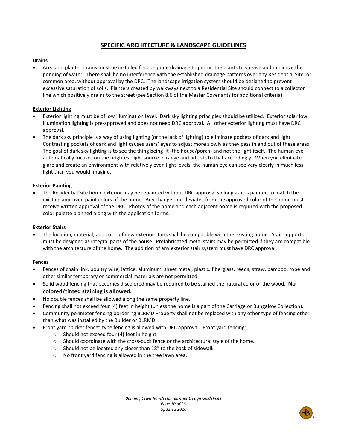## **SPECIFIC ARCHITECTURE & LANDSCAPE GUIDELINES**

## **Drains**

• Area and planter drains must be installed for adequate drainage to permit the plants to survive and minimize the ponding of water. There shall be no interference with the established drainage patterns over any Residential Site, or common area, without approval by the DRC. The landscape irrigation system should be designed to prevent excessive saturation of soils. Planters created by walkways next to a Residential Site should connect to a collector line which positively drains to the street (see Section 8.6 of the Master Covenants for additional criteria).

## **Exterior Lighting**

- Exterior lighting must be of low illumination level. Dark sky lighting principles should be utilized. Exterior solar low illumination lighting is pre-approved and does not need DRC approval. All other exterior lighting must have DRC approval.
- The dark sky principle is a way of using lighting (or the lack of lighting) to eliminate pockets of dark and light. Contrasting pockets of dark and light causes users' eyes to adjust more slowly as they pass in and out of these areas. The goal of dark sky lighting is to see the thing being lit (the house/porch) and not the light itself. The human eye automatically focuses on the brightest light source in range and adjusts to that accordingly. When you eliminate glare and create an environment with relatively even light levels, the human eye can see very clearly in much less light than you would imagine.

## **Exterior Painting**

• The Residential Site home exterior may be repainted without DRC approval so long as it is painted to match the existing approved paint colors of the home. Any change that deviates from the approved color of the home must receive written approval of the DRC. Photos of the home and each adjacent home is required with the proposed color palette planned along with the application forms.

#### **Exterior Stairs**

• The location, material, and color of new exterior stairs shall be compatible with the existing home. Stair supports must be designed as integral parts of the house. Prefabricated metal stairs may be permitted if they are compatible with the architecture of the home. The addition of any exterior stair system must have DRC approval.

#### **Fences**

- Fences of chain link, poultry wire, lattice, aluminum, sheet metal, plastic, fiberglass, reeds, straw, bamboo, rope and other similar temporary or commercial materials are not permitted.
- Solid wood fencing that becomes discolored may be required to be stained the natural color of the wood. **No colored/tinted staining is allowed.**
- No double fences shall be allowed along the same property line.
- Fencing shall not exceed four (4) feet in height (unless the home is a part of the Carriage or Bungalow Collection).
- Community perimeter fencing bordering BLRMD Property shall not be replaced with any other type of fencing other than what was installed by the Builder or BLRMD.
- Front yard "picket fence" type fencing is allowed with DRC approval. Front yard fencing:
	- o Should not exceed four (4) feet in height.
	- $\circ$  Should coordinate with the cross-buck fence or the architectural style of the home.
	- o Should not be located any closer than 18" to the back of sidewalk.
	- o No front yard fencing is allowed in the tree lawn area.

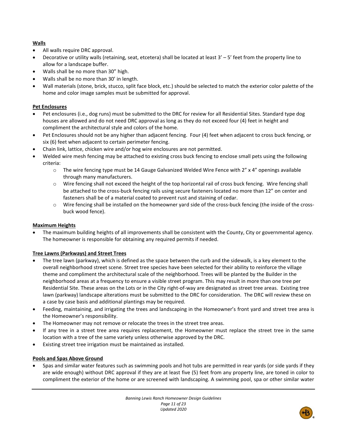## **Walls**

- All walls require DRC approval.
- Decorative or utility walls (retaining, seat, etcetera) shall be located at least 3' 5' feet from the property line to allow for a landscape buffer.
- Walls shall be no more than 30" high.
- Walls shall be no more than 30' in length.
- Wall materials (stone, brick, stucco, split face block, etc.) should be selected to match the exterior color palette of the home and color image samples must be submitted for approval.

## **Pet Enclosures**

- Pet enclosures (i.e., dog runs) must be submitted to the DRC for review for all Residential Sites. Standard type dog houses are allowed and do not need DRC approval as long as they do not exceed four (4) feet in height and compliment the architectural style and colors of the home.
- Pet Enclosures should not be any higher than adjacent fencing. Four (4) feet when adjacent to cross buck fencing, or six (6) feet when adjacent to certain perimeter fencing.
- Chain link, lattice, chicken wire and/or hog wire enclosures are not permitted.
- Welded wire mesh fencing may be attached to existing cross buck fencing to enclose small pets using the following criteria:
	- $\circ$  The wire fencing type must be 14 Gauge Galvanized Welded Wire Fence with 2" x 4" openings available through many manufacturers.
	- o Wire fencing shall not exceed the height of the top horizontal rail of cross buck fencing. Wire fencing shall be attached to the cross-buck fencing rails using secure fasteners located no more than 12" on center and fasteners shall be of a material coated to prevent rust and staining of cedar.
	- o Wire fencing shall be installed on the homeowner yard side of the cross-buck fencing (the inside of the crossbuck wood fence).

## **Maximum Heights**

• The maximum building heights of all improvements shall be consistent with the County, City or governmental agency. The homeowner is responsible for obtaining any required permits if needed.

## **Tree Lawns (Parkways) and Street Trees**

- The tree lawn (parkway), which is defined as the space between the curb and the sidewalk, is a key element to the overall neighborhood street scene. Street tree species have been selected for their ability to reinforce the village theme and compliment the architectural scale of the neighborhood. Trees will be planted by the Builder in the neighborhood areas at a frequency to ensure a visible street program. This may result in more than one tree per Residential Site. These areas on the Lots or in the City right-of-way are designated as street tree areas. Existing tree lawn (parkway) landscape alterations must be submitted to the DRC for consideration. The DRC will review these on a case by case basis and additional plantings may be required.
- Feeding, maintaining, and irrigating the trees and landscaping in the Homeowner's front yard and street tree area is the Homeowner's responsibility.
- The Homeowner may not remove or relocate the trees in the street tree areas.
- If any tree in a street tree area requires replacement, the Homeowner must replace the street tree in the same location with a tree of the same variety unless otherwise approved by the DRC.
- Existing street tree irrigation must be maintained as installed.

#### **Pools and Spas Above Ground**

• Spas and similar water features such as swimming pools and hot tubs are permitted in rear yards (or side yards if they are wide enough) without DRC approval if they are at least five (5) feet from any property line, are toned in color to compliment the exterior of the home or are screened with landscaping. A swimming pool, spa or other similar water

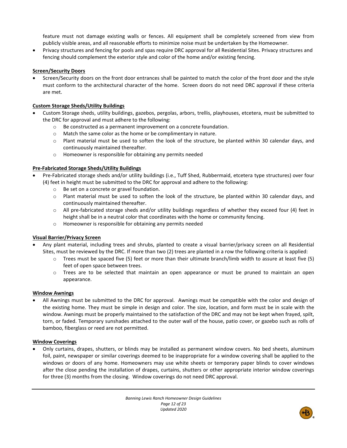feature must not damage existing walls or fences. All equipment shall be completely screened from view from publicly visible areas, and all reasonable efforts to minimize noise must be undertaken by the Homeowner.

• Privacy structures and fencing for pools and spas require DRC approval for all Residential Sites. Privacy structures and fencing should complement the exterior style and color of the home and/or existing fencing.

## **Screen/Security Doors**

• Screen/Security doors on the front door entrances shall be painted to match the color of the front door and the style must conform to the architectural character of the home. Screen doors do not need DRC approval if these criteria are met.

## **Custom Storage Sheds/Utility Buildings**

- Custom Storage sheds, utility buildings, gazebos, pergolas, arbors, trellis, playhouses, etcetera, must be submitted to the DRC for approval and must adhere to the following:
	- o Be constructed as a permanent improvement on a concrete foundation.
	- o Match the same color as the home or be complimentary in nature.
	- o Plant material must be used to soften the look of the structure, be planted within 30 calendar days, and continuously maintained thereafter.
	- o Homeowner is responsible for obtaining any permits needed

## **Pre-Fabricated Storage Sheds/Utility Buildings**

- Pre-Fabricated storage sheds and/or utility buildings (i.e., Tuff Shed, Rubbermaid, etcetera type structures) over four (4) feet in height must be submitted to the DRC for approval and adhere to the following:
	- o Be set on a concrete or gravel foundation.
	- o Plant material must be used to soften the look of the structure, be planted within 30 calendar days, and continuously maintained thereafter.
	- o All pre-fabricated storage sheds and/or utility buildings regardless of whether they exceed four (4) feet in height shall be in a neutral color that coordinates with the home or community fencing.
	- o Homeowner is responsible for obtaining any permits needed

## **Visual Barrier/Privacy Screen**

- Any plant material, including trees and shrubs, planted to create a visual barrier/privacy screen on all Residential Sites, must be reviewed by the DRC. If more than two (2) trees are planted in a row the following criteria is applied:
	- o Trees must be spaced five (5) feet or more than their ultimate branch/limb width to assure at least five (5) feet of open space between trees.
	- o Trees are to be selected that maintain an open appearance or must be pruned to maintain an open appearance.

## **Window Awnings**

• All Awnings must be submitted to the DRC for approval. Awnings must be compatible with the color and design of the existing home. They must be simple in design and color. The size, location, and form must be in scale with the window. Awnings must be properly maintained to the satisfaction of the DRC and may not be kept when frayed, spilt, torn, or faded. Temporary sunshades attached to the outer wall of the house, patio cover, or gazebo such as rolls of bamboo, fiberglass or reed are not permitted.

#### **Window Coverings**

• Only curtains, drapes, shutters, or blinds may be installed as permanent window covers. No bed sheets, aluminum foil, paint, newspaper or similar coverings deemed to be inappropriate for a window covering shall be applied to the windows or doors of any home. Homeowners may use white sheets or temporary paper blinds to cover windows after the close pending the installation of drapes, curtains, shutters or other appropriate interior window coverings for three (3) months from the closing. Window coverings do not need DRC approval.

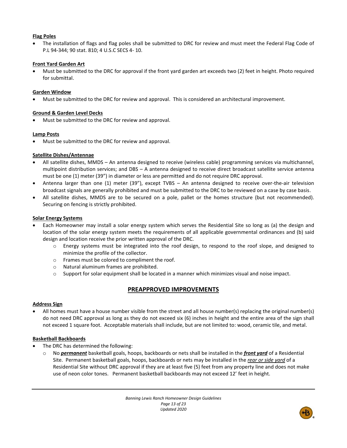## **Flag Poles**

• The installation of flags and flag poles shall be submitted to DRC for review and must meet the Federal Flag Code of P.L 94-344; 90 stat. 810; 4 U.S.C SECS 4- 10.

## **Front Yard Garden Art**

• Must be submitted to the DRC for approval if the front yard garden art exceeds two (2) feet in height. Photo required for submittal.

## **Garden Window**

• Must be submitted to the DRC for review and approval. This is considered an architectural improvement.

## **Ground & Garden Level Decks**

• Must be submitted to the DRC for review and approval.

## **Lamp Posts**

• Must be submitted to the DRC for review and approval.

## **Satellite Dishes/Antennae**

- All satellite dishes, MMDS An antenna designed to receive (wireless cable) programming services via multichannel, multipoint distribution services; and DBS – A antenna designed to receive direct broadcast satellite service antenna must be one (1) meter (39") in diameter or less are permitted and do not require DRC approval.
- Antenna larger than one (1) meter (39"), except TVBS An antenna designed to receive over-the-air television broadcast signals are generally prohibited and must be submitted to the DRC to be reviewed on a case by case basis.
- All satellite dishes, MMDS are to be secured on a pole, pallet or the homes structure (but not recommended). Securing on fencing is strictly prohibited.

## **Solar Energy Systems**

- Each Homeowner may install a solar energy system which serves the Residential Site so long as (a) the design and location of the solar energy system meets the requirements of all applicable governmental ordinances and (b) said design and location receive the prior written approval of the DRC.
	- o Energy systems must be integrated into the roof design, to respond to the roof slope, and designed to minimize the profile of the collector.
	- o Frames must be colored to compliment the roof.
	- o Natural aluminum frames are prohibited.
	- $\circ$  Support for solar equipment shall be located in a manner which minimizes visual and noise impact.

## **PREAPPROVED IMPROVEMENTS**

#### **Address Sign**

• All homes must have a house number visible from the street and all house number(s) replacing the original number(s) do not need DRC approval as long as they do not exceed six (6) inches in height and the entire area of the sign shall not exceed 1 square foot. Acceptable materials shall include, but are not limited to: wood, ceramic tile, and metal.

#### **Basketball Backboards**

- The DRC has determined the following:
	- o No *permanent* basketball goals, hoops, backboards or nets shall be installed in the *front yard* of a Residential Site. Permanent basketball goals, hoops, backboards or nets may be installed in the *rear or side yard* of a Residential Site without DRC approval if they are at least five (5) feet from any property line and does not make use of neon color tones. Permanent basketball backboards may not exceed 12' feet in height.

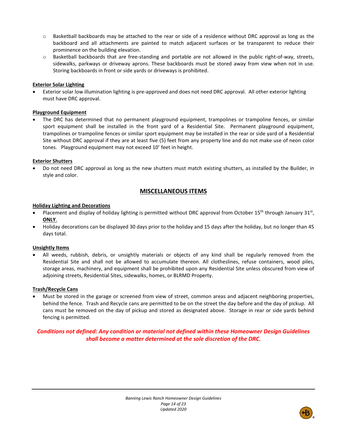- o Basketball backboards may be attached to the rear or side of a residence without DRC approval as long as the backboard and all attachments are painted to match adjacent surfaces or be transparent to reduce their prominence on the building elevation.
- $\circ$  Basketball backboards that are free-standing and portable are not allowed in the public right-of-way, streets, sidewalks, parkways or driveway aprons. These backboards must be stored away from view when not in use. Storing backboards in front or side yards or driveways is prohibited.

## **Exterior Solar Lighting**

• Exterior solar low illumination lighting is pre-approved and does not need DRC approval. All other exterior lighting must have DRC approval.

## **Playground Equipment**

• The DRC has determined that no permanent playground equipment, trampolines or trampoline fences, or similar sport equipment shall be installed in the front yard of a Residential Site. Permanent playground equipment, trampolines or trampoline fences or similar sport equipment may be installed in the rear or side yard of a Residential Site without DRC approval if they are at least five (5) feet from any property line and do not make use of neon color tones. Playground equipment may not exceed 10' feet in height.

## **Exterior Shutters**

• Do not need DRC approval as long as the new shutters must match existing shutters, as installed by the Builder, in style and color.

## **MISCELLANEOUS ITEMS**

## **Holiday Lighting and Decorations**

- Placement and display of holiday lighting is permitted without DRC approval from October 15<sup>th</sup> through January 31<sup>st</sup>, **ONLY**.
- Holiday decorations can be displayed 30 days prior to the holiday and 15 days after the holiday, but no longer than 45 days total.

## **Unsightly Items**

• All weeds, rubbish, debris, or unsightly materials or objects of any kind shall be regularly removed from the Residential Site and shall not be allowed to accumulate thereon. All clotheslines, refuse containers, wood piles, storage areas, machinery, and equipment shall be prohibited upon any Residential Site unless obscured from view of adjoining streets, Residential Sites, sidewalks, homes, or BLRMD Property.

## **Trash/Recycle Cans**

• Must be stored in the garage or screened from view of street, common areas and adjacent neighboring properties, behind the fence. Trash and Recycle cans are permitted to be on the street the day before and the day of pickup. All cans must be removed on the day of pickup and stored as designated above. Storage in rear or side yards behind fencing is permitted.

## *Conditions not defined: Any condition or material not defined within these Homeowner Design Guidelines shall become a matter determined at the sole discretion of the DRC.*

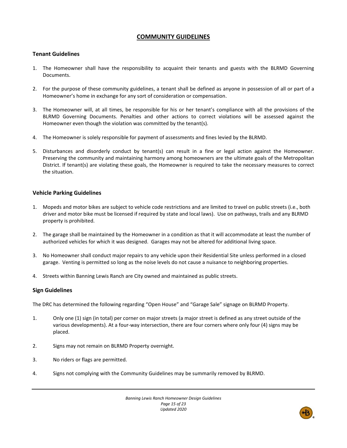## **COMMUNITY GUIDELINES**

## **Tenant Guidelines**

- 1. The Homeowner shall have the responsibility to acquaint their tenants and guests with the BLRMD Governing Documents.
- 2. For the purpose of these community guidelines, a tenant shall be defined as anyone in possession of all or part of a Homeowner's home in exchange for any sort of consideration or compensation.
- 3. The Homeowner will, at all times, be responsible for his or her tenant's compliance with all the provisions of the BLRMD Governing Documents. Penalties and other actions to correct violations will be assessed against the Homeowner even though the violation was committed by the tenant(s).
- 4. The Homeowner is solely responsible for payment of assessments and fines levied by the BLRMD.
- 5. Disturbances and disorderly conduct by tenant(s) can result in a fine or legal action against the Homeowner. Preserving the community and maintaining harmony among homeowners are the ultimate goals of the Metropolitan District. If tenant(s) are violating these goals, the Homeowner is required to take the necessary measures to correct the situation.

## **Vehicle Parking Guidelines**

- 1. Mopeds and motor bikes are subject to vehicle code restrictions and are limited to travel on public streets (i.e., both driver and motor bike must be licensed if required by state and local laws). Use on pathways, trails and any BLRMD property is prohibited.
- 2. The garage shall be maintained by the Homeowner in a condition as that it will accommodate at least the number of authorized vehicles for which it was designed. Garages may not be altered for additional living space.
- 3. No Homeowner shall conduct major repairs to any vehicle upon their Residential Site unless performed in a closed garage. Venting is permitted so long as the noise levels do not cause a nuisance to neighboring properties.
- 4. Streets within Banning Lewis Ranch are City owned and maintained as public streets.

## **Sign Guidelines**

The DRC has determined the following regarding "Open House" and "Garage Sale" signage on BLRMD Property.

- 1. Only one (1) sign (in total) per corner on major streets (a major street is defined as any street outside of the various developments). At a four-way intersection, there are four corners where only four (4) signs may be placed.
- 2. Signs may not remain on BLRMD Property overnight.
- 3. No riders or flags are permitted.
- 4. Signs not complying with the Community Guidelines may be summarily removed by BLRMD.

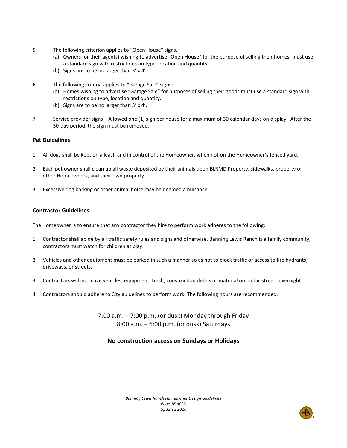- 5. The following criterion applies to "Open House" signs.
	- (a) Owners (or their agents) wishing to advertise "Open House" for the purpose of selling their homes, must use a standard sign with restrictions on type, location and quantity.
	- (b) Signs are to be no larger than 3' x 4'.
- 6. The following criteria applies to "Garage Sale" signs:
	- (a) Homes wishing to advertise "Garage Sale" for purposes of selling their goods must use a standard sign with restrictions on type, location and quantity.
	- (b) Signs are to be no larger than 3' x 4'.
- 7. Service provider signs Allowed one (1) sign per house for a maximum of 30 calendar days on display. After the 30-day period, the sign must be removed.

## **Pet Guidelines**

- 1. All dogs shall be kept on a leash and in control of the Homeowner, when not on the Homeowner's fenced yard.
- 2. Each pet owner shall clean up all waste deposited by their animals upon BLRMD Property, sidewalks, property of other Homeowners, and their own property.
- 3. Excessive dog barking or other animal noise may be deemed a nuisance.

## **Contractor Guidelines**

The Homeowner is to ensure that any contractor they hire to perform work adheres to the following:

- 1. Contractor shall abide by all traffic safety rules and signs and otherwise. Banning Lewis Ranch is a family community; contractors must watch for children at play.
- 2. Vehicles and other equipment must be parked in such a manner so as not to block traffic or access to fire hydrants, driveways, or streets.
- 3. Contractors will not leave vehicles, equipment, trash, construction debris or material on public streets overnight.
- 4. Contractors should adhere to City guidelines to perform work. The following hours are recommended:

7:00 a.m. – 7:00 p.m. (or dusk) Monday through Friday 8:00 a.m. – 6:00 p.m. (or dusk) Saturdays

## **No construction access on Sundays or Holidays**

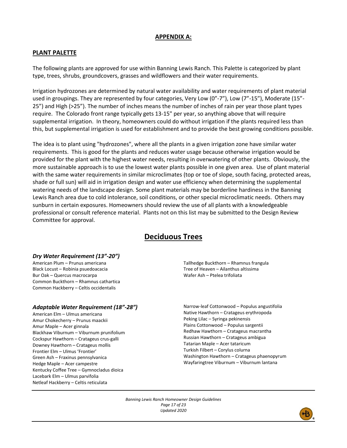## **APPENDIX A:**

## **PLANT PALETTE**

The following plants are approved for use within Banning Lewis Ranch. This Palette is categorized by plant type, trees, shrubs, groundcovers, grasses and wildflowers and their water requirements.

Irrigation hydrozones are determined by natural water availability and water requirements of plant material used in groupings. They are represented by four categories, Very Low (0"-7"), Low (7"-15"), Moderate (15"- 25") and High (>25"). The number of inches means the number of inches of rain per year those plant types require. The Colorado front range typically gets 13-15" per year, so anything above that will require supplemental irrigation. In theory, homeowners could do without irrigation if the plants required less than this, but supplemental irrigation is used for establishment and to provide the best growing conditions possible.

The idea is to plant using "hydrozones", where all the plants in a given irrigation zone have similar water requirements. This is good for the plants and reduces water usage because otherwise irrigation would be provided for the plant with the highest water needs, resulting in overwatering of other plants. Obviously, the more sustainable approach is to use the lowest water plants possible in one given area. Use of plant material with the same water requirements in similar microclimates (top or toe of slope, south facing, protected areas, shade or full sun) will aid in irrigation design and water use efficiency when determining the supplemental watering needs of the landscape design. Some plant materials may be borderline hardiness in the Banning Lewis Ranch area due to cold intolerance, soil conditions, or other special microclimatic needs. Others may sunburn in certain exposures. Homeowners should review the use of all plants with a knowledgeable professional or consult reference material. Plants not on this list may be submitted to the Design Review Committee for approval.

# **Deciduous Trees**

#### *Dry Water Requirement (13"-20")*

American Plum – Prunus americana Black Locust – Robinia psuedoacacia Bur Oak – Quercus macrocarpa Common Buckthorn – Rhamnus cathartica Common Hackberry – Celtis occidentalis

#### *Adaptable Water Requirement (18"-28")*

American Elm – Ulmus americana Amur Chokecherry – Prunus maackii Amur Maple – Acer ginnala Blackhaw Viburnum – Viburnum prunifolium Cockspur Hawthorn – Cratageus crus-galli Downey Hawthorn – Cratageus mollis Frontier Elm – Ulmus 'Frontier' Green Ash – Fraxinus pennsylvanica Hedge Maple – Acer campestre Kentucky Coffee Tree – Gymnocladus dioica Lacebark Elm – Ulmus parvifolia Netleaf Hackberry – Celtis reticulata

Tallhedge Buckthorn – Rhamnus frangula Tree of Heaven – Ailanthus altissima Wafer Ash – Ptelea trifoliata

Narrow-leaf Cottonwood – Populus angustifolia Native Hawthorn – Cratageus erythropoda Peking Lilac – Syringa pekinensis Plains Cottonwood – Populus sargentii Redhaw Hawthorn – Cratageus macrantha Russian Hawthorn – Cratageus ambigua Tatarian Maple – Acer tataricum Turkish Filbert – Corylus colurna Washington Hawthorn – Cratageus phaenopyrum Wayfaringtree Viburnum – Viburnum lantana

*Banning Lewis Ranch Homeowner Design Guidelines Page 17 of 23 Updated 2020*

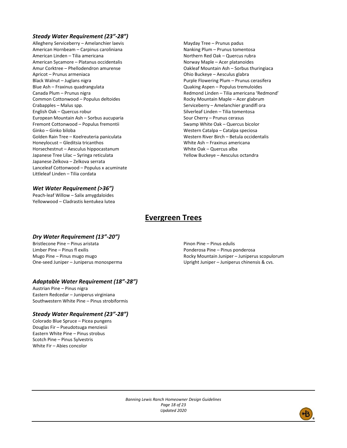#### *Steady Water Requirement (23"-28")*

Allegheny Serviceberry – Amelanchier laevis American Hornbeam – Carpinus caroliniana American Linden – Tilia americana American Sycamore – Platanus occidentalis Amur Corktree – Phellodendron amurense Apricot – Prunus armeniaca Black Walnut – Juglans nigra Blue Ash – Fraxinus quadrangulata Canada Plum – Prunus nigra Common Cottonwood – Populus deltoides Crabapples – Malus spp. English Oak – Quercus robur European Mountain Ash – Sorbus aucuparia Fremont Cottonwood – Populus fremontii Ginko – Ginko biloba Golden Rain Tree – Koelreuteria paniculata Honeylocust – Gleditsia tricanthos Horsechestnut – Aesculus hippocastanum Japanese Tree Lilac – Syringa reticulata Japanese Zelkova – Zelkova serrata Lanceleaf Cottonwood – Populus x acuminate Littleleaf Linden – Tilia cordata

## *Wet Water Requirement (>36")*

Peach-leaf Willow – Salix amygdaloides Yellowwood – Cladrastis kentukea lutea Mayday Tree – Prunus padus Nanking Plum – Prunus tomentosa Northern Red Oak – Quercus rubra Norway Maple – Acer platanoides Oakleaf Mountain Ash – Sorbus thuringiaca Ohio Buckeye – Aesculus glabra Purple Flowering Plum – Prunus cerasifera Quaking Aspen – Populus tremuloides Redmond Linden – Tilia americana 'Redmond' Rocky Mountain Maple – Acer glabrum Serviceberry – Amelanchier grandifl ora Silverleaf Linden – Tilia tomentosa Sour Cherry – Prunus cerasus Swamp White Oak – Quercus bicolor Western Catalpa – Catalpa speciosa Western River Birch – Betula occidentalis White Ash – Fraxinus americana White Oak – Quercus alba Yellow Buckeye – Aesculus octandra

# **Evergreen Trees**

#### *Dry Water Requirement (13"-20")*

Bristlecone Pine – Pinus aristata Limber Pine – Pinus fl exilis Mugo Pine – Pinus mugo mugo One-seed Juniper – Juniperus monosperma

## *Adaptable Water Requirement (18"-28")*

Austrian Pine – Pinus nigra Eastern Redcedar – Juniperus virginiana Southwestern White Pine – Pinus strobiformis

## *Steady Water Requirement (23"-28")*

Colorado Blue Spruce – Picea pungens Douglas Fir – Pseudotsuga menziesii Eastern White Pine – Pinus strobus Scotch Pine – Pinus Sylvestris White Fir – Abies concolor

Pinon Pine – Pinus edulis Ponderosa Pine – Pinus ponderosa Rocky Mountain Juniper – Juniperus scopulorum Upright Juniper – Juniperus chinensis & cvs.

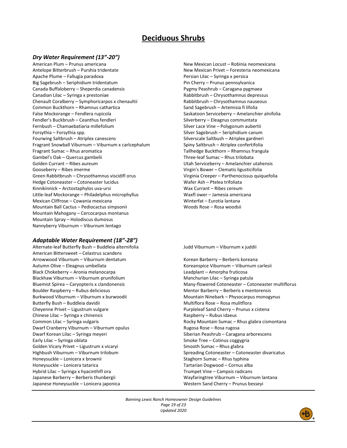# **Deciduous Shrubs**

#### *Dry Water Requirement (13"-20")*

American Plum – Prunus americana Antelope Bitterbrush – Purshia tridentate Apache Plume – Fallugia paradoxa Big Sagebrush – Seriphidium tridentatum Canada Buffaloberry – Sheperdia canadensis Canadian Lilac – Syringa x prestoniae Chenault Coralberry – Symphoricarpos x chenaultii Common Buckthorn – Rhamnus cathartica False Mockorange – Fendlera rupicola Fendler's Buckbrush – Ceanthus fendleri Fernbush – Chamaebatiaria millefolium Forsythia – Forsythia spp. Fourwing Saltbrush – Atriplex canescens Fragrant Snowball Viburnum – Viburnum x carlcephalum Fragrant Sumac – Rhus aromatica Gambel's Oak – Quercus gambelii Golden Currant – Ribes aureum Gooseberry – Ribes imerme Green Rabbitbrush – Chrysothamnus viscidifl orus Hedge Cotoneaster – Cotoneaster lucidus Kinnikinnick – Arctostaphylos uva-ursi Little-leaf Mockorange – Philadelphus microphyllus Mexican Cliffrose – Cowania mexicana Mountain Ball Cactus – Pediocactus simpsonii Mountain Mahogany – Cercocarpus montanus Mountain Spray – Holodiscus dumosus Nannyberry Viburnum – Viburnum lentago

#### *Adaptable Water Requirement (18"-28")*

Alternate-leaf Butterfly Bush – Buddleia alternifolia American Bittersweet – Celastrus scandens Arrowwood Viburnum – Viburnum dentatum Autumn Olive – Eleagnus umbellata Black Chokeberry – Aronia melanocarpa Blackhaw Viburnum – Viburnum prunifolium Bluemist Spirea – Caryopteris x clandonensis Boulder Raspberry – Rubus deliciosus Burkwood Viburnum – Viburnum x burwoodii Butterfly Bush – Buddleia davidii Cheyenne Privet – Ligustrum vulgare Chinese Lilac – Syringa x chinensis Common Lilac – Syringa vulgaris Dwarf Cranberry Viburnum – Viburnum opulus Dwarf Korean Lilac – Syringa meyeri Early Lilac – Syringa oblata Golden Vicary Privet – Ligustrum x vicaryi Highbush Viburnum – Viburnum trilobum Honeysuckle – Lonicera x brownii Honeysuckle – Lonicera tatarica Hybrid Lilac – Syringa x hyacinthifl ora Japanese Barberry – Berberis thunbergii Japanese Honeysuckle – Lonicera japonica

New Mexican Locust – Robinia neomexicana New Mexican Privet – Foresteria neomexicana Persian Lilac – Syringa x persica Pin Cherry – Prunus pennsylvanica Pygmy Peashrub – Caragana pygmaea Rabbitbrush – Chrysothamnus depressus Rabbitbrush – Chrysothamnus nauseous Sand Sagebrush – Artemisia fi lifolia Saskatoon Serviceberry – Amelanchier alnifolia Silverberry – Eleagnus communtata Silver Lace Vine – Polygonum aubertii Silver Sagebrush – Seriphidium canum Silverscale Saltbush – Atriplex gardneri Spiny Saltbrush – Atriplex confertifolia Tallhedge Buckthorn – Rhamnus frangula Three-leaf Sumac – Rhus trilobata Utah Serviceberry – Amelanchier utahensis Virgin's Bower – Clematis ligusticifolia Virginia Creeper – Parthenocissus quiquefolia Wafer Ash – Ptelea trifoliata Wax Currant – Ribes cereum Waxfl ower – Jamesia americana Winterfat – Eurotia lantana Woods Rose – Rosa woodsii

Judd Viburnum – Viburnum x juddii

Korean Barberry – Berberis koreana Koreanspice Viburnum – Viburnum carlesii Leadplant – Amorpha fruticosa Manchurian Lilac – Syringa patula Many-flowered Cotoneaster – Cotoneaster multiflorus Mentor Barberry – Berberis x mentorensis Mountain Ninebark – Physocarpus monogynus Multiflora Rose – Rosa mulitflora Purpleleaf Sand Cherry – Prunus x cistena Raspberry – Rubus idaeus Rocky Mountain Sumac – Rhus glabra cismontana Rugosa Rose – Rosa rugosa Siberian Peashrub – Caragana arborescens Smoke Tree – Cotinus coggygria Smooth Sumac – Rhus glabra Spreading Cotoneaster – Cotoneaster divaricatus Staghorn Sumac – Rhus typhina Tartarian Dogwood – Cornus alba Trumpet Vine – Campsis radicans Wayfaringtree Viburnum – Viburnum lantana Western Sand Cherry – Prunus besseyi

*Banning Lewis Ranch Homeowner Design Guidelines Page 19 of 23 Updated 2020*

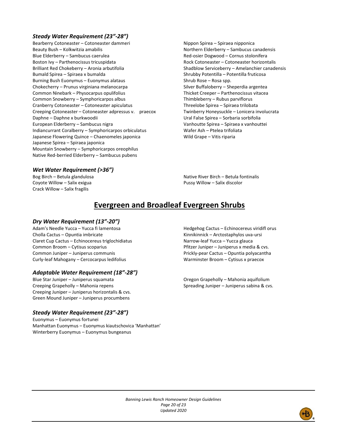#### *Steady Water Requirement (23"-28")*

Bearberry Cotoneaster – Cotoneaster dammeri Beauty Bush – Kolkwitzia amabilis Blue Elderberry – Sambucus caerulea Boston Ivy – Parthenocissus tricuspidata Brilliant Red Chokeberry – Aronia arbutifolia Bumald Spirea – Spiraea x bumalda Burning Bush Euonymus – Euonymus alataus Chokecherry – Prunus virginiana melanocarpa Common Ninebark – Physocarpus opulifolius Common Snowberry – Symphoricarpos albus Cranberry Cotoneaster – Cotoneaster apiculatus Creeping Cotoneaster – Cotoneaster adpressus v. praecox Daphne – Daphne x burkwoodii European Elderberry – Sambucus nigra Indiancurrant Coralberry – Symphoricarpos orbiculatus Japanese Flowering Quince – Chaenomeles japonica Japanese Spirea – Spiraea japonica Mountain Snowberry – Symphoricarpos oreophilus Native Red-berried Elderberry – Sambucus pubens

Nippon Spirea – Spiraea nipponica Northern Elderberry – Sambucus canadensis Red-osier Dogwood – Cornus stolonifera Rock Cotoneaster – Cotoneaster horizontalis Shadblow Serviceberry – Amelanchier canadensis Shrubby Potentilla – Potentilla fruticosa Shrub Rose – Rosa spp. Silver Buffaloberry – Sheperdia argentea Thicket Creeper – Parthenocissus vitacea Thimbleberry – Rubus parviflorus Threelobe Spirea – Spiraea trilobata Twinberry Honeysuckle – Lonicera involucrata Ural False Spirea – Sorbaria sorbifolia Vanhoutte Spirea – Spiraea x vanhouttei Wafer Ash – Ptelea trifoliata Wild Grape – Vitis riparia

## *Wet Water Requirement (>36")*

Bog Birch – Betula glandulosa Coyote Willow – Salix exigua Crack Willow – Salix fragilis

Native River Birch – Betula fontinalis Pussy Willow – Salix discolor

# **Evergreen and Broadleaf Evergreen Shrubs**

#### *Dry Water Requirement (13"-20")*

Adam's Needle Yucca – Yucca fi lamentosa Cholla Cactus – Opuntia imbricate Claret Cup Cactus – Echinocereus triglochidiatus Common Broom – Cytisus scoparius Common Juniper – Juniperus communis Curly-leaf Mahogany – Cercocarpus ledifolius

#### *Adaptable Water Requirement (18"-28")*

Blue Star Juniper – Juniperus squamata Creeping Grapeholly – Mahonia repens Creeping Juniper – Juniperus horizontalis & cvs. Green Mound Juniper – Juniperus procumbens

#### *Steady Water Requirement (23"-28")*

Euonymus – Euonymus fortunei Manhattan Euonymus – Euonymus kiautschovica 'Manhattan' Winterberry Euonymus – Euonymus bungeanus

Hedgehog Cactus – Echinocereus viridifl orus Kinnikinnick – Arctostaphylos uva-ursi Narrow-leaf Yucca – Yucca glauca Pfitzer Juniper – Juniperus x media & cvs. Prickly-pear Cactus – Opuntia polyacantha Warminster Broom – Cytisus x praecox

Oregon Grapeholly – Mahonia aquifolium Spreading Juniper – Juniperus sabina & cvs.

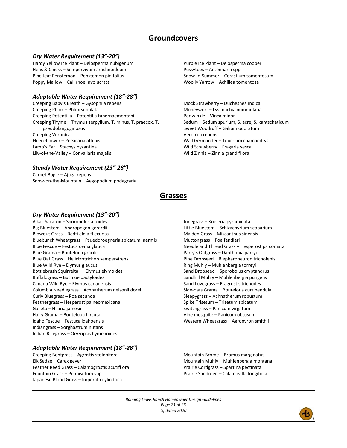# **Groundcovers**

#### *Dry Water Requirement (13"-20")*

Hardy Yellow Ice Plant – Delosperma nubigenum Hens & Chicks – Sempervivum arachnoideum Pine-leaf Penstemon – Penstemon pinifolius Poppy Mallow – Callirhoe involucrata

#### *Adaptable Water Requirement (18"-28")*

Creeping Baby's Breath – Gysophila repens Creeping Phlox – Phlox subulata Creeping Potentilla – Potentilla tabernaemontani Creeping Thyme – Thymus serpyllum, T. minus, T, praecox, T. pseudolanguginosus Creeping Veronica Fleecefl ower – Persicaria affi nis Lamb's Ear – Stachys byzantina Lily-of-the-Valley – Convallaria majalis

## *Steady Water Requirement (23"-28")*

Carpet Bugle – Ajuga repens Snow-on-the-Mountain – Aegopodium podagraria Purple Ice Plant – Delosperma cooperi Pussytoes – Antennaria spp. Snow-in-Summer – Cerastium tomentosum Woolly Yarrow – Achillea tomentosa

Mock Strawberry – Duchesnea indica Moneywort – Lysimachia nummularia Periwinkle – Vinca minor Sedum – Sedum spurium, S. acre, S. kantschaticum Sweet Woodruff – Galium odoratum Veronica repens Wall Germander – Teucrium chamaedrys Wild Strawberry – Fragaria vesca Wild Zinnia – Zinnia grandifl ora

# **Grasses**

#### *Dry Water Requirement (13"-20")*

Alkali Sacaton – Sporobolus airoides Big Bluestem – Andropogon gerardii Blowout Grass – Redfi eldia fl exuosa Bluebunch Wheatgrass – Psuedoroegneria spicatum inermis Blue Fescue – Festuca ovina glauca Blue Grama – Bouteloua gracilis Blue Oat Grass – Helictrotrichon sempervirens Blue Wild Rye – Elymus glaucus Bottlebrush Squirreltail – Elymus elymoides Buffalograss – Buchloe dactyloides Canada Wild Rye – Elymus canadensis Columbia Needlegrass – Achnatherum nelsonii dorei Curly Bluegrass – Poa secunda Feathergrass – Hesperostipa neomexicana Galleta – Hilaria jamesii Hairy Grama – Bouteloua hirsuta Idaho Fescue – Festuca idahoensis Indiangrass – Sorghastrum nutans Indian Ricegrass – Oryzopsis hymenoides

#### *Adaptable Water Requirement (18"-28")*

Creeping Bentgrass – Agrostis stolonifera Elk Sedge – Carex geyeri Feather Reed Grass – Calamogrostis acutifl ora Fountain Grass – Pennisetum spp. Japanese Blood Grass – Imperata cylindrica

Junegrass – Koeleria pyramidata Little Bluestem – Schizachyrium scoparium Maiden Grass – Miscanthus sinensis Muttongrass – Poa fendleri Needle and Thread Grass – Hesperostipa comata Parry's Oatgrass – Danthonia parryi Pine Dropseed – Blepharoneuron tricholepis Ring Muhly – Muhlenbergia torreyi Sand Dropseed – Sporobolus cryptandrus Sandhill Muhly – Muhlenbergia pungens Sand Lovegrass – Eragrostis trichodes Side-oats Grama – Bouteloua curtipendula Sleepygrass – Achnatherum robustum Spike Trisetum – Trisetum spicatum Switchgrass – Panicum virgatum Vine mesquite – Panicum obtusum Western Wheatgrass – Agropyron smithii

Mountain Brome – Bromus marginatus Mountain Muhly – Muhlenbergia montana Prairie Cordgrass – Spartina pectinata Prairie Sandreed – Calamovilfa longifolia

*Banning Lewis Ranch Homeowner Design Guidelines Page 21 of 23 Updated 2020*

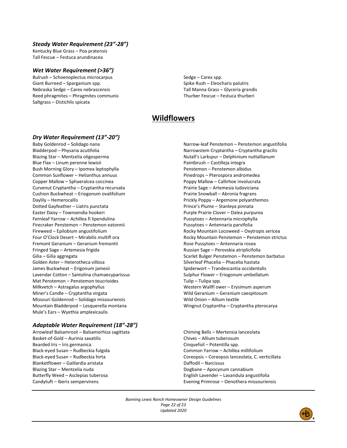#### *Steady Water Requirement (23"-28")*

Kentucky Blue Grass – Poa pratensis Tall Fescue – Festuca arundinacea

#### *Wet Water Requirement (>36")*

Bulrush – Schoenoplectus microcarpus Giant Burreed – Sparganium spp. Nebraska Sedge – Carex nebrascensis Reed phragmites – Phragmites communis Saltgrass – Distichlis spicata

#### Sedge – Carex spp. Spike Rush – Eleocharis palutris Tall Manna Grass – Glyceria grandis Thurber Fescue – Festuca thurberi

# **Wildflowers**

## *Dry Water Requirement (13"-20")*

Baby Goldenrod – Solidago nana Bladderpod – Physaria acutifolia Blazing Star – Mentzelia oligosperma Blue Flax – Linum perenne lewisii Bush Morning Glory – Ipomea leptophylla Common Sunflower – Helianthus annuus Copper Mallow – Sphaeralcea coccinea Curvenut Cryptantha – Cryptantha recurvata Cushion Buckwheat – Eriogonum ovalifolium Daylily – Hemerocallis Dotted Gayfeather – Liatris punctata Easter Daisy – Townsendia hookeri Fernleaf Yarrow – Achillea fi lipendulina Firecraker Penstemon – Penstemon eatonnii Fireweed – Epilobium angustifolium Four O'Clock Desert – Mirabilis multifl ora Fremont Geranium – Geranium fremontii Fringed Sage – Artemesia frigida Gilia – Gilia aggregata Golden Aster – Heterotheca villosa James Buckwheat – Erigonum jamesii Lavendar Cotton – Santolina chamaecyparissus Mat Penstemon – Penstemon teucrioides Milkvetch – Astragalus argophyllus Miner's Candle – Cryptantha virgata Missouri Goldenrod – Solidago missouriensis Mountain Bladderpod – Lesquerella montana Mule's Ears – Wyethia amplexicaulis

## *Adaptable Water Requirement (18"-28")*

Arrowleaf Balsamroot – Balsamorhiza sagittata Basket-of-Gold – Aurinia saxatilis Bearded Iris – Iris germanica Black-eyed Susan – Rudbeckia fulgida Black-eyed Susan – Rudbeckia hirta Blanketflower – Gaillardia aristata Blazing Star – Mentzelia nuda Butterfly Weed – Asclepias tuberosa Candytuft – Iberis sempervirens

Narrow-leaf Penstemon – Penstemon angustifolia Narrowstem Cryptantha – Cryptantha gracilis Nutall's Larkspur – Delphinium nuttallianum Paintbrush – Castilleja integra Penstemon – Penstemon albidus Pinedrops – Pterospora andromedea Poppy Mallow – Callirhoe involucrata Prairie Sage – Artemesia ludoviciana Prairie Snowball – Abronia fragrans Prickly Poppy – Argemone polyanthemos Prince's Plume – Stanleya pinnata Purple Prairie Clover – Dalea purpurea Pussytoes – Antennaria microphylla Pussytoes – Antennaria parvifolia Rocky Mountain Locoweed – Oxytropis sericea Rocky Mountain Penstemon – Penstemon strictus Rose Pussytoes – Antennaria rosea Russian Sage – Perovskia atriplicifolia Scarlet Bulger Penstemon – Penstemon barbatus Silverleaf Phacelia – Phacelia hastata Spiderwort – Trandescantia occidentalis Sulphur Flower – Eriogonum umbellatum Tulip – Tulipa spp. Western Wallfl ower – Erysimum asperum Wild Geranium – Geranium caespitosum Wild Onion – Allium textile Wingnut Cryptantha – Cryptantha pterocarya

Chiming Bells – Mertensia lanceolata Chives – Allium tuberosum Cinquefoil – Potentilla spp. Common Yarrow – Achillea millifolium Coreopsis – Coreopsis lanceolata, C. verticillata Daffodil – Narcissus Dogbane – Apocynum cannabium English Lavender – Lavandula angustifolia Evening Primrose – Oenothera missouriensis

*Banning Lewis Ranch Homeowner Design Guidelines Page 22 of 23 Updated 2020*